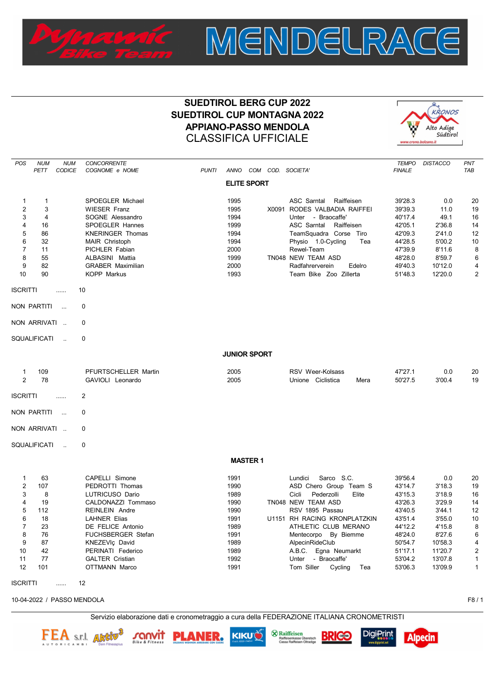## SUEDTIROL BERG CUP 2022 SUEDTIROL CUP MONTAGNA 2022 APPIANO-PASSO MENDOLA CLASSIFICA UFFICIALE

MENDE



 $\Delta$ 

| POS                                                    | <b>NUM</b><br>PETT                                                     | <b>NUM</b><br><b>CODICE</b> | CONCORRENTE<br>COGNOME e NOME                                                                                                                                                                                                                    | <b>PUNTI</b> | ANNO                                                                                         | COM COD. SOCIETA'                                                                                                                                                                                                                                                                                      | <b>TEMPO</b><br><b>FINALE</b>                                                                                                    | <b>DISTACCO</b>                                                                                                       | PNT<br><b>TAB</b>                                                                    |
|--------------------------------------------------------|------------------------------------------------------------------------|-----------------------------|--------------------------------------------------------------------------------------------------------------------------------------------------------------------------------------------------------------------------------------------------|--------------|----------------------------------------------------------------------------------------------|--------------------------------------------------------------------------------------------------------------------------------------------------------------------------------------------------------------------------------------------------------------------------------------------------------|----------------------------------------------------------------------------------------------------------------------------------|-----------------------------------------------------------------------------------------------------------------------|--------------------------------------------------------------------------------------|
|                                                        |                                                                        |                             |                                                                                                                                                                                                                                                  |              | <b>ELITE SPORT</b>                                                                           |                                                                                                                                                                                                                                                                                                        |                                                                                                                                  |                                                                                                                       |                                                                                      |
| 1<br>2<br>3<br>4<br>5<br>6<br>7<br>8<br>9<br>10        | 1<br>3<br>4<br>16<br>86<br>32<br>11<br>55<br>82<br>90                  |                             | SPOEGLER Michael<br><b>WIESER Franz</b><br>SOGNE Alessandro<br><b>SPOEGLER Hannes</b><br><b>KNERINGER Thomas</b><br><b>MAIR Christoph</b><br>PICHLER Fabian<br>ALBASINI Mattia<br><b>GRABER Maximilian</b><br>KOPP Markus                        |              | 1995<br>1995<br>1994<br>1999<br>1994<br>1994<br>2000<br>1999<br>2000<br>1993                 | ASC Sarntal<br>Raiffeisen<br>X0091 RODES VALBADIA RAIFFEI<br>Unter - Braocaffe'<br><b>ASC Sarntal</b><br>Raiffeisen<br>TeamSquadra Corse Tiro<br>Physio 1.0-Cycling<br>Tea<br>Rewel-Team<br>TN048 NEW TEAM ASD<br>Radfahrerverein<br>Edelro<br>Team Bike Zoo Zillerta                                  | 39'28.3<br>39'39.3<br>40'17.4<br>42'05.1<br>42'09.3<br>44'28.5<br>47'39.9<br>48'28.0<br>49'40.3<br>51'48.3                       | 0.0<br>11.0<br>49.1<br>2'36.8<br>2'41.0<br>5'00.2<br>8'11.6<br>8'59.7<br>10'12.0<br>12'20.0                           | 20<br>19<br>16<br>14<br>12<br>10<br>8<br>6<br>4<br>$\overline{2}$                    |
| <b>ISCRITTI</b>                                        |                                                                        |                             | 10                                                                                                                                                                                                                                               |              |                                                                                              |                                                                                                                                                                                                                                                                                                        |                                                                                                                                  |                                                                                                                       |                                                                                      |
|                                                        | NON PARTITI                                                            | $\sim$                      | 0                                                                                                                                                                                                                                                |              |                                                                                              |                                                                                                                                                                                                                                                                                                        |                                                                                                                                  |                                                                                                                       |                                                                                      |
|                                                        | NON ARRIVATI                                                           |                             | 0                                                                                                                                                                                                                                                |              |                                                                                              |                                                                                                                                                                                                                                                                                                        |                                                                                                                                  |                                                                                                                       |                                                                                      |
|                                                        | SQUALIFICATI                                                           | $\sim$                      | 0                                                                                                                                                                                                                                                |              |                                                                                              |                                                                                                                                                                                                                                                                                                        |                                                                                                                                  |                                                                                                                       |                                                                                      |
|                                                        |                                                                        |                             |                                                                                                                                                                                                                                                  |              | <b>JUNIOR SPORT</b>                                                                          |                                                                                                                                                                                                                                                                                                        |                                                                                                                                  |                                                                                                                       |                                                                                      |
| 1<br>$\overline{2}$                                    | 109<br>78                                                              |                             | PFURTSCHELLER Martin<br>GAVIOLI Leonardo                                                                                                                                                                                                         |              | 2005<br>2005                                                                                 | <b>RSV Weer-Kolsass</b><br>Unione Ciclistica<br>Mera                                                                                                                                                                                                                                                   | 47'27.1<br>50'27.5                                                                                                               | 0.0<br>3'00.4                                                                                                         | 20<br>19                                                                             |
| <b>ISCRITTI</b>                                        |                                                                        | .                           | $\overline{2}$                                                                                                                                                                                                                                   |              |                                                                                              |                                                                                                                                                                                                                                                                                                        |                                                                                                                                  |                                                                                                                       |                                                                                      |
|                                                        | NON PARTITI                                                            | $\sim$                      | 0                                                                                                                                                                                                                                                |              |                                                                                              |                                                                                                                                                                                                                                                                                                        |                                                                                                                                  |                                                                                                                       |                                                                                      |
|                                                        | NON ARRIVATI                                                           |                             | 0                                                                                                                                                                                                                                                |              |                                                                                              |                                                                                                                                                                                                                                                                                                        |                                                                                                                                  |                                                                                                                       |                                                                                      |
|                                                        | SQUALIFICATI                                                           | $\sim$                      | 0                                                                                                                                                                                                                                                |              |                                                                                              |                                                                                                                                                                                                                                                                                                        |                                                                                                                                  |                                                                                                                       |                                                                                      |
|                                                        |                                                                        |                             |                                                                                                                                                                                                                                                  |              | <b>MASTER 1</b>                                                                              |                                                                                                                                                                                                                                                                                                        |                                                                                                                                  |                                                                                                                       |                                                                                      |
| 1<br>2<br>3<br>4<br>5<br>6<br>8<br>9<br>10<br>11<br>12 | 63<br>107<br>8<br>19<br>112<br>18<br>23<br>76<br>87<br>42<br>77<br>101 |                             | CAPELLI Simone<br>PEDROTTI Thomas<br>LUTRICUSO Dario<br>CALDONAZZI Tommaso<br>REINLEIN Andre<br><b>LAHNER Elias</b><br>DE FELICE Antonio<br>FUCHSBERGER Stefan<br>KNEZEVIç David<br>PERINATI Federico<br><b>GALTER Cristian</b><br>OTTMANN Marco |              | 1991<br>1990<br>1989<br>1990<br>1990<br>1991<br>1989<br>1991<br>1989<br>1989<br>1992<br>1991 | Sarco S.C.<br>Lundici<br>ASD Chero Group Team S<br>Pederzolli<br>Cicli<br>Elite<br>TN048 NEW TEAM ASD<br>RSV 1895 Passau<br>U1151 RH RACING KRONPLATZKIN<br>ATHLETIC CLUB MERANO<br>Mentecorpo By Biemme<br>AlpecinRideClub<br>A.B.C. Egna Neumarkt<br>Unter - Braocaffe'<br>Tom Siller Cycling<br>Tea | 39'56.4<br>43'14.7<br>43'15.3<br>43'26.3<br>43'40.5<br>43'51.4<br>44'12.2<br>48'24.0<br>50'54.7<br>51'17.1<br>53'04.2<br>53'06.3 | 0.0<br>3'18.3<br>3'18.9<br>3'29.9<br>3'44.1<br>3'55.0<br>4'15.8<br>8'27.6<br>10'58.3<br>11'20.7<br>13'07.8<br>13'09.9 | 20<br>19<br>16<br>14<br>12<br>10<br>8<br>6<br>4<br>2<br>$\mathbf{1}$<br>$\mathbf{1}$ |
| <b>ISCRITTI</b>                                        |                                                                        | $\ldots$                    | 12                                                                                                                                                                                                                                               |              |                                                                                              |                                                                                                                                                                                                                                                                                                        |                                                                                                                                  |                                                                                                                       |                                                                                      |
|                                                        |                                                                        | 10-04-2022 / PASSO MENDOLA  |                                                                                                                                                                                                                                                  |              |                                                                                              |                                                                                                                                                                                                                                                                                                        |                                                                                                                                  |                                                                                                                       | F8/1                                                                                 |

Servizio elaborazione dati e cronometraggio a cura della FEDERAZIONE ITALIANA CRONOMETRISTI

**KIKU**Č

**PLANER.** 



**X**<br>Raiffeisenkasse Überetsch<br>Cassa Raiffeisen Oltradige **RR** CHIER

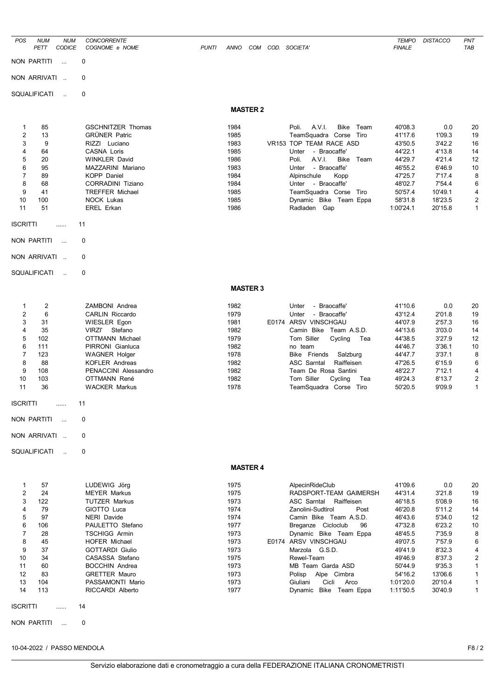| POS                                                                                                         | <b>NUM</b><br>PETT                                                                   | <b>NUM</b><br><b>CODICE</b> | <b>CONCORRENTE</b><br>COGNOME e NOME                                                                                                                                                                                                                                                                | <b>PUNTI</b> | ANNO                                                                                                         | COM             | COD. SOCIETA'                                                                                                                                                                                                                                                                                                                                 | <b>TEMPO</b><br><b>FINALE</b>                                                                                                                              | <b>DISTACCO</b>                                                                                                                          | PNT<br>TAB                                                                                                             |
|-------------------------------------------------------------------------------------------------------------|--------------------------------------------------------------------------------------|-----------------------------|-----------------------------------------------------------------------------------------------------------------------------------------------------------------------------------------------------------------------------------------------------------------------------------------------------|--------------|--------------------------------------------------------------------------------------------------------------|-----------------|-----------------------------------------------------------------------------------------------------------------------------------------------------------------------------------------------------------------------------------------------------------------------------------------------------------------------------------------------|------------------------------------------------------------------------------------------------------------------------------------------------------------|------------------------------------------------------------------------------------------------------------------------------------------|------------------------------------------------------------------------------------------------------------------------|
|                                                                                                             | <b>NON PARTITI</b>                                                                   | $\mathbf{r}_{\mathrm{max}}$ | 0                                                                                                                                                                                                                                                                                                   |              |                                                                                                              |                 |                                                                                                                                                                                                                                                                                                                                               |                                                                                                                                                            |                                                                                                                                          |                                                                                                                        |
|                                                                                                             | NON ARRIVATI                                                                         |                             | 0                                                                                                                                                                                                                                                                                                   |              |                                                                                                              |                 |                                                                                                                                                                                                                                                                                                                                               |                                                                                                                                                            |                                                                                                                                          |                                                                                                                        |
|                                                                                                             | SQUALIFICATI                                                                         | $\ddot{\phantom{a}}$        | 0                                                                                                                                                                                                                                                                                                   |              |                                                                                                              |                 |                                                                                                                                                                                                                                                                                                                                               |                                                                                                                                                            |                                                                                                                                          |                                                                                                                        |
|                                                                                                             |                                                                                      |                             |                                                                                                                                                                                                                                                                                                     |              |                                                                                                              | <b>MASTER 2</b> |                                                                                                                                                                                                                                                                                                                                               |                                                                                                                                                            |                                                                                                                                          |                                                                                                                        |
| 1<br>$\overline{\mathbf{c}}$<br>3<br>4<br>5<br>6<br>$\overline{7}$<br>8<br>9<br>10<br>11<br><b>ISCRITTI</b> | 85<br>13<br>9<br>64<br>20<br>95<br>89<br>68<br>41<br>100<br>51                       | .                           | <b>GSCHNITZER Thomas</b><br><b>GRÜNER Patric</b><br>RIZZI Luciano<br><b>CASNA Loris</b><br><b>WINKLER David</b><br>MAZZARINI Mariano<br><b>KOPP Daniel</b><br>CORRADINI Tiziano<br><b>TREFFER Michael</b><br><b>NOCK Lukas</b><br>EREL Erkan<br>11<br>0                                             |              | 1984<br>1985<br>1983<br>1985<br>1986<br>1983<br>1984<br>1984<br>1985<br>1985<br>1986                         |                 | A.V.I.<br>Poli.<br>Bike Team<br>TeamSquadra Corse Tiro<br>VR153 TOP TEAM RACE ASD<br>- Braocaffe'<br>Unter<br>Poli.<br>A.V.I.<br>Bike Team<br>- Braocaffe'<br>Unter<br>Alpinschule<br>Kopp<br>- Braocaffe'<br>Unter<br>TeamSquadra Corse Tiro<br>Dynamic Bike Team Eppa<br>Radladen Gap                                                       | 40'08.3<br>41'17.6<br>43'50.5<br>44'22.1<br>44'29.7<br>46'55.2<br>47'25.7<br>48'02.7<br>50'57.4<br>58'31.8<br>1:00'24.1                                    | 0.0<br>1'09.3<br>3'42.2<br>4'13.8<br>4'21.4<br>6'46.9<br>7'17.4<br>7'54.4<br>10'49.1<br>18'23.5<br>20'15.8                               | 20<br>19<br>16<br>14<br>12<br>10<br>8<br>6<br>4<br>2<br>$\mathbf{1}$                                                   |
|                                                                                                             | NON PARTITI<br>NON ARRIVATI                                                          | $\sim$                      | 0                                                                                                                                                                                                                                                                                                   |              |                                                                                                              |                 |                                                                                                                                                                                                                                                                                                                                               |                                                                                                                                                            |                                                                                                                                          |                                                                                                                        |
|                                                                                                             | <b>SQUALIFICATI</b>                                                                  |                             | 0                                                                                                                                                                                                                                                                                                   |              |                                                                                                              |                 |                                                                                                                                                                                                                                                                                                                                               |                                                                                                                                                            |                                                                                                                                          |                                                                                                                        |
|                                                                                                             |                                                                                      |                             |                                                                                                                                                                                                                                                                                                     |              |                                                                                                              | <b>MASTER 3</b> |                                                                                                                                                                                                                                                                                                                                               |                                                                                                                                                            |                                                                                                                                          |                                                                                                                        |
|                                                                                                             |                                                                                      |                             |                                                                                                                                                                                                                                                                                                     |              |                                                                                                              |                 |                                                                                                                                                                                                                                                                                                                                               |                                                                                                                                                            |                                                                                                                                          |                                                                                                                        |
| $\mathbf{1}$<br>$\overline{2}$<br>3<br>4<br>5<br>6<br>$\overline{7}$<br>8<br>9<br>10<br>11                  | $\overline{2}$<br>6<br>31<br>35<br>102<br>111<br>123<br>88<br>108<br>103<br>36       |                             | ZAMBONI Andrea<br><b>CARLIN Riccardo</b><br>WIESLER Egon<br><b>VIRZI'</b><br>Stefano<br><b>OTTMANN Michael</b><br>PIRRONI Gianluca<br><b>WAGNER Holger</b><br><b>KOFLER Andreas</b><br>PENACCINI Alessandro<br>OTTMANN René<br><b>WACKER Markus</b>                                                 |              | 1982<br>1979<br>1981<br>1982<br>1979<br>1982<br>1978<br>1982<br>1982<br>1982<br>1978                         |                 | - Braocaffe'<br>Unter<br>Unter<br>- Braocaffe'<br>E0174 ARSV VINSCHGAU<br>Camin Bike Team A.S.D.<br>Tom Siller<br>Cycling<br>Tea<br>no team<br>Bike Friends<br>Salzburg<br>ASC Sarntal<br>Raiffeisen<br>Team De Rosa Santini<br>Tom Siller<br>Cycling<br>Tea<br>TeamSquadra Corse Tiro                                                        | 41'10.6<br>43'12.4<br>44'07.9<br>44'13.6<br>44'38.5<br>44'46.7<br>44'47.7<br>47'26.5<br>48'22.7<br>49'24.3<br>50'20.5                                      | 0.0<br>2'01.8<br>2'57.3<br>3'03.0<br>3'27.9<br>3'36.1<br>3'37.1<br>6'15.9<br>7'12.1<br>8'13.7<br>9'09.9                                  | 20<br>19<br>16<br>14<br>12<br>10<br>8<br>6<br>4<br>2<br>$\mathbf{1}$                                                   |
| <b>ISCRITTI</b>                                                                                             |                                                                                      | .                           | 11                                                                                                                                                                                                                                                                                                  |              |                                                                                                              |                 |                                                                                                                                                                                                                                                                                                                                               |                                                                                                                                                            |                                                                                                                                          |                                                                                                                        |
|                                                                                                             | NON PARTITI                                                                          |                             | $\Omega$                                                                                                                                                                                                                                                                                            |              |                                                                                                              |                 |                                                                                                                                                                                                                                                                                                                                               |                                                                                                                                                            |                                                                                                                                          |                                                                                                                        |
|                                                                                                             | NON ARRIVATI                                                                         |                             | $\Omega$                                                                                                                                                                                                                                                                                            |              |                                                                                                              |                 |                                                                                                                                                                                                                                                                                                                                               |                                                                                                                                                            |                                                                                                                                          |                                                                                                                        |
|                                                                                                             | SQUALIFICATI                                                                         | $\sim$                      | 0                                                                                                                                                                                                                                                                                                   |              |                                                                                                              |                 |                                                                                                                                                                                                                                                                                                                                               |                                                                                                                                                            |                                                                                                                                          |                                                                                                                        |
|                                                                                                             |                                                                                      |                             |                                                                                                                                                                                                                                                                                                     |              |                                                                                                              | <b>MASTER 4</b> |                                                                                                                                                                                                                                                                                                                                               |                                                                                                                                                            |                                                                                                                                          |                                                                                                                        |
| $\mathbf 1$<br>2<br>3<br>4<br>5<br>6<br>$\overline{7}$<br>8<br>9<br>10<br>11<br>12<br>13<br>14              | 57<br>24<br>122<br>79<br>97<br>106<br>28<br>45<br>37<br>34<br>60<br>83<br>104<br>113 |                             | LUDEWIG Jörg<br><b>MEYER Markus</b><br><b>TUTZER Markus</b><br>GIOTTO Luca<br>NERI Davide<br>PAULETTO Stefano<br><b>TSCHIGG Armin</b><br><b>HOFER Michael</b><br><b>GOTTARDI Giulio</b><br>CASASSA Stefano<br><b>BOCCHIN Andrea</b><br><b>GRETTER Mauro</b><br>PASSAMONTI Mario<br>RICCARDI Alberto |              | 1975<br>1975<br>1973<br>1974<br>1974<br>1977<br>1973<br>1973<br>1973<br>1975<br>1973<br>1973<br>1973<br>1977 |                 | AlpecinRideClub<br>RADSPORT-TEAM GAIMERSH<br>ASC Sarntal Raiffeisen<br>Zanolini-Sudtirol<br>Post<br>Camin Bike Team A.S.D.<br>Breganze Cicloclub<br>96<br>Dynamic Bike Team Eppa<br>E0174 ARSV VINSCHGAU<br>Marzola G.S.D.<br>Rewel-Team<br>MB Team Garda ASD<br>Polisp<br>Alpe Cimbra<br>Cicli<br>Giuliani<br>Arco<br>Dynamic Bike Team Eppa | 41'09.6<br>44'31.4<br>46'18.5<br>46'20.8<br>46'43.6<br>47'32.8<br>48'45.5<br>49'07.5<br>49'41.9<br>49'46.9<br>50'44.9<br>54'16.2<br>1:01'20.0<br>1:11'50.5 | 0.0<br>3'21.8<br>5'08.9<br>5'11.2<br>5'34.0<br>6'23.2<br>7'35.9<br>7'57.9<br>8'32.3<br>8'37.3<br>9'35.3<br>13'06.6<br>20'10.4<br>30'40.9 | 20<br>19<br>16<br>14<br>12<br>10<br>8<br>6<br>4<br>$\overline{2}$<br>1<br>$\mathbf{1}$<br>$\mathbf{1}$<br>$\mathbf{1}$ |
| <b>ISCRITTI</b>                                                                                             |                                                                                      | .                           | 14                                                                                                                                                                                                                                                                                                  |              |                                                                                                              |                 |                                                                                                                                                                                                                                                                                                                                               |                                                                                                                                                            |                                                                                                                                          |                                                                                                                        |
|                                                                                                             | NON PARTITI                                                                          | $\sim$                      | 0                                                                                                                                                                                                                                                                                                   |              |                                                                                                              |                 |                                                                                                                                                                                                                                                                                                                                               |                                                                                                                                                            |                                                                                                                                          |                                                                                                                        |

10-04-2022 / PASSO MENDOLA F8 / 2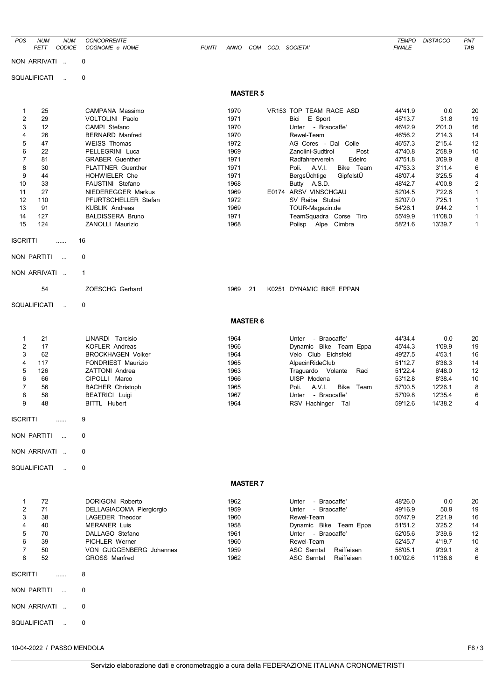| <b>POS</b>                                                                                              | <b>NUM</b><br><b>PETT</b>                                                                 | <b>NUM</b><br>CODICE | <b>CONCORRENTE</b><br>COGNOME e NOME                                                                                                                                                                                                                                                                                                            | <b>PUNTI</b> | ANNO                                                                                                                 |                 | COM COD. SOCIETA                                                                                                                                                                                                                                                                                                                                         | <b>TEMPO</b><br><b>FINALE</b>                                                                                                                                     | <b>DISTACCO</b>                                                                                                                                 | PNT<br>TAB                                                                                                                           |
|---------------------------------------------------------------------------------------------------------|-------------------------------------------------------------------------------------------|----------------------|-------------------------------------------------------------------------------------------------------------------------------------------------------------------------------------------------------------------------------------------------------------------------------------------------------------------------------------------------|--------------|----------------------------------------------------------------------------------------------------------------------|-----------------|----------------------------------------------------------------------------------------------------------------------------------------------------------------------------------------------------------------------------------------------------------------------------------------------------------------------------------------------------------|-------------------------------------------------------------------------------------------------------------------------------------------------------------------|-------------------------------------------------------------------------------------------------------------------------------------------------|--------------------------------------------------------------------------------------------------------------------------------------|
|                                                                                                         | NON ARRIVATI                                                                              |                      | 0                                                                                                                                                                                                                                                                                                                                               |              |                                                                                                                      |                 |                                                                                                                                                                                                                                                                                                                                                          |                                                                                                                                                                   |                                                                                                                                                 |                                                                                                                                      |
|                                                                                                         | SQUALIFICATI                                                                              | $\mathbf{r}$         | 0                                                                                                                                                                                                                                                                                                                                               |              |                                                                                                                      |                 |                                                                                                                                                                                                                                                                                                                                                          |                                                                                                                                                                   |                                                                                                                                                 |                                                                                                                                      |
|                                                                                                         |                                                                                           |                      |                                                                                                                                                                                                                                                                                                                                                 |              |                                                                                                                      | <b>MASTER 5</b> |                                                                                                                                                                                                                                                                                                                                                          |                                                                                                                                                                   |                                                                                                                                                 |                                                                                                                                      |
| 1<br>$\overline{c}$<br>3<br>4<br>5<br>6<br>$\overline{7}$<br>8<br>9<br>10<br>11<br>12<br>13<br>14<br>15 | 25<br>29<br>12<br>26<br>47<br>22<br>81<br>30<br>44<br>33<br>27<br>110<br>91<br>127<br>124 |                      | CAMPANA Massimo<br><b>VOLTOLINI Paolo</b><br>CAMPI Stefano<br><b>BERNARD Manfred</b><br><b>WEISS Thomas</b><br>PELLEGRINI Luca<br><b>GRABER Guenther</b><br><b>PLATTNER Guenther</b><br>HOHWIELER Che<br>FAUSTINI Stefano<br>NIEDEREGGER Markus<br>PFURTSCHELLER Stefan<br><b>KUBLIK Andreas</b><br><b>BALDISSERA Bruno</b><br>ZANOLLI Maurizio |              | 1970<br>1971<br>1970<br>1970<br>1972<br>1969<br>1971<br>1971<br>1971<br>1968<br>1969<br>1972<br>1969<br>1971<br>1968 |                 | VR153 TOP TEAM RACE ASD<br>Bici E Sport<br>Unter - Braocaffe'<br>Rewel-Team<br>AG Cores - Dal Colle<br>Zanolini-Sudtirol<br>Post<br>Radfahrerverein<br>Edelro<br>A.V.I.<br>Bike Team<br>Poli.<br>BergsÜchtige<br>GipfelstÜ<br>Butty A.S.D.<br>E0174 ARSV VINSCHGAU<br>SV Raiba Stubai<br>TOUR-Magazin.de<br>TeamSquadra Corse Tiro<br>Polisp Alpe Cimbra | 44'41.9<br>45'13.7<br>46'42.9<br>46'56.2<br>46'57.3<br>47'40.8<br>47'51.8<br>47'53.3<br>48'07.4<br>48'42.7<br>52'04.5<br>52'07.0<br>54'26.1<br>55'49.9<br>58'21.6 | 0.0<br>31.8<br>2'01.0<br>2'14.3<br>2'15.4<br>2'58.9<br>3'09.9<br>3'11.4<br>3'25.5<br>4'00.8<br>7'22.6<br>7'25.1<br>9'44.2<br>11'08.0<br>13'39.7 | 20<br>19<br>16<br>14<br>12<br>10<br>8<br>6<br>4<br>2<br>$\mathbf{1}$<br>$\mathbf{1}$<br>$\mathbf{1}$<br>$\mathbf{1}$<br>$\mathbf{1}$ |
| <b>ISCRITTI</b>                                                                                         |                                                                                           | .                    | 16                                                                                                                                                                                                                                                                                                                                              |              |                                                                                                                      |                 |                                                                                                                                                                                                                                                                                                                                                          |                                                                                                                                                                   |                                                                                                                                                 |                                                                                                                                      |
|                                                                                                         | NON PARTITI                                                                               | $\sim$               | 0                                                                                                                                                                                                                                                                                                                                               |              |                                                                                                                      |                 |                                                                                                                                                                                                                                                                                                                                                          |                                                                                                                                                                   |                                                                                                                                                 |                                                                                                                                      |
|                                                                                                         | NON ARRIVATI                                                                              |                      | $\mathbf{1}$                                                                                                                                                                                                                                                                                                                                    |              |                                                                                                                      |                 |                                                                                                                                                                                                                                                                                                                                                          |                                                                                                                                                                   |                                                                                                                                                 |                                                                                                                                      |
|                                                                                                         | 54                                                                                        |                      | ZOESCHG Gerhard                                                                                                                                                                                                                                                                                                                                 |              | 1969                                                                                                                 | 21              | K0251 DYNAMIC BIKE EPPAN                                                                                                                                                                                                                                                                                                                                 |                                                                                                                                                                   |                                                                                                                                                 |                                                                                                                                      |
|                                                                                                         | <b>SQUALIFICATI</b>                                                                       | $\sim$               | 0                                                                                                                                                                                                                                                                                                                                               |              |                                                                                                                      |                 |                                                                                                                                                                                                                                                                                                                                                          |                                                                                                                                                                   |                                                                                                                                                 |                                                                                                                                      |
|                                                                                                         |                                                                                           |                      |                                                                                                                                                                                                                                                                                                                                                 |              |                                                                                                                      | <b>MASTER 6</b> |                                                                                                                                                                                                                                                                                                                                                          |                                                                                                                                                                   |                                                                                                                                                 |                                                                                                                                      |
| 1<br>$\overline{c}$<br>3<br>$\overline{4}$<br>5<br>6<br>7<br>8<br>9                                     | 21<br>17<br>62<br>117<br>126<br>66<br>56<br>58<br>48                                      |                      | LINARDI Tarcisio<br><b>KOFLER Andreas</b><br><b>BROCKHAGEN Volker</b><br>FONDRIEST Maurizio<br><b>ZATTONI</b> Andrea<br>CIPOLLI Marco<br><b>BACHER Christoph</b><br><b>BEATRICI Luigi</b><br>BITTL Hubert                                                                                                                                       |              | 1964<br>1966<br>1964<br>1965<br>1963<br>1966<br>1965<br>1967<br>1964                                                 |                 | Unter - Braocaffe'<br>Dynamic Bike Team Eppa<br>Velo Club Eichsfeld<br>AlpecinRideClub<br>Traguardo Volante<br>Raci<br>UISP Modena<br>Poli.<br>A.V.I.<br>Bike<br>Team<br>Unter - Braocaffe'<br>RSV Hachinger Tal                                                                                                                                         | 44'34.4<br>45'44.3<br>49'27.5<br>51'12.7<br>51'22.4<br>53'12.8<br>57'00.5<br>57'09.8<br>59'12.6                                                                   | 0.0<br>1'09.9<br>4'53.1<br>6'38.3<br>6'48.0<br>8'38.4<br>12'26.1<br>12'35.4<br>14'38.2                                                          | 20<br>19<br>16<br>14<br>12<br>10<br>8<br>6<br>4                                                                                      |
| <b>ISCRITTI</b>                                                                                         |                                                                                           |                      | 9                                                                                                                                                                                                                                                                                                                                               |              |                                                                                                                      |                 |                                                                                                                                                                                                                                                                                                                                                          |                                                                                                                                                                   |                                                                                                                                                 |                                                                                                                                      |
|                                                                                                         | NON PARTITI                                                                               | $\sim$               | 0                                                                                                                                                                                                                                                                                                                                               |              |                                                                                                                      |                 |                                                                                                                                                                                                                                                                                                                                                          |                                                                                                                                                                   |                                                                                                                                                 |                                                                                                                                      |
|                                                                                                         | NON ARRIVATI                                                                              |                      | 0                                                                                                                                                                                                                                                                                                                                               |              |                                                                                                                      |                 |                                                                                                                                                                                                                                                                                                                                                          |                                                                                                                                                                   |                                                                                                                                                 |                                                                                                                                      |
|                                                                                                         | <b>SQUALIFICATI</b>                                                                       | $\ddot{\phantom{a}}$ | $\mathbf 0$                                                                                                                                                                                                                                                                                                                                     |              |                                                                                                                      |                 |                                                                                                                                                                                                                                                                                                                                                          |                                                                                                                                                                   |                                                                                                                                                 |                                                                                                                                      |
|                                                                                                         |                                                                                           |                      |                                                                                                                                                                                                                                                                                                                                                 |              |                                                                                                                      | <b>MASTER 7</b> |                                                                                                                                                                                                                                                                                                                                                          |                                                                                                                                                                   |                                                                                                                                                 |                                                                                                                                      |
| 1<br>$\overline{c}$<br>3<br>$\overline{4}$<br>5<br>6<br>$\overline{7}$<br>8<br><b>ISCRITTI</b>          | 72<br>71<br>38<br>40<br>70<br>39<br>50<br>52<br>NON PARTITI                               | .<br>$\sim$          | DORIGONI Roberto<br>DELLAGIACOMA Piergiorgio<br>LAGEDER Theodor<br><b>MERANER Luis</b><br>DALLAGO Stefano<br>PICHLER Werner<br>VON GUGGENBERG Johannes<br><b>GROSS Manfred</b><br>8<br>0                                                                                                                                                        |              | 1962<br>1959<br>1960<br>1958<br>1961<br>1960<br>1959<br>1962                                                         |                 | Unter - Braocaffe'<br>- Braocaffe'<br>Unter<br>Rewel-Team<br>Dynamic Bike Team Eppa<br>Unter - Braocaffe'<br>Rewel-Team<br>ASC Sarntal<br>Raiffeisen<br><b>ASC Sarntal</b><br>Raiffeisen                                                                                                                                                                 | 48'26.0<br>49'16.9<br>50'47.9<br>51'51.2<br>52'05.6<br>52'45.7<br>58'05.1<br>1:00'02.6                                                                            | 0.0<br>50.9<br>2'21.9<br>3'25.2<br>3'39.6<br>4'19.7<br>9'39.1<br>11'36.6                                                                        | 20<br>19<br>16<br>14<br>12<br>10<br>8<br>6                                                                                           |
|                                                                                                         | NON ARRIVATI                                                                              |                      | 0                                                                                                                                                                                                                                                                                                                                               |              |                                                                                                                      |                 |                                                                                                                                                                                                                                                                                                                                                          |                                                                                                                                                                   |                                                                                                                                                 |                                                                                                                                      |
|                                                                                                         | <b>SQUALIFICATI</b>                                                                       | $\ddot{\phantom{a}}$ | 0                                                                                                                                                                                                                                                                                                                                               |              |                                                                                                                      |                 |                                                                                                                                                                                                                                                                                                                                                          |                                                                                                                                                                   |                                                                                                                                                 |                                                                                                                                      |

10-04-2022 / PASSO MENDOLA F8 / 3